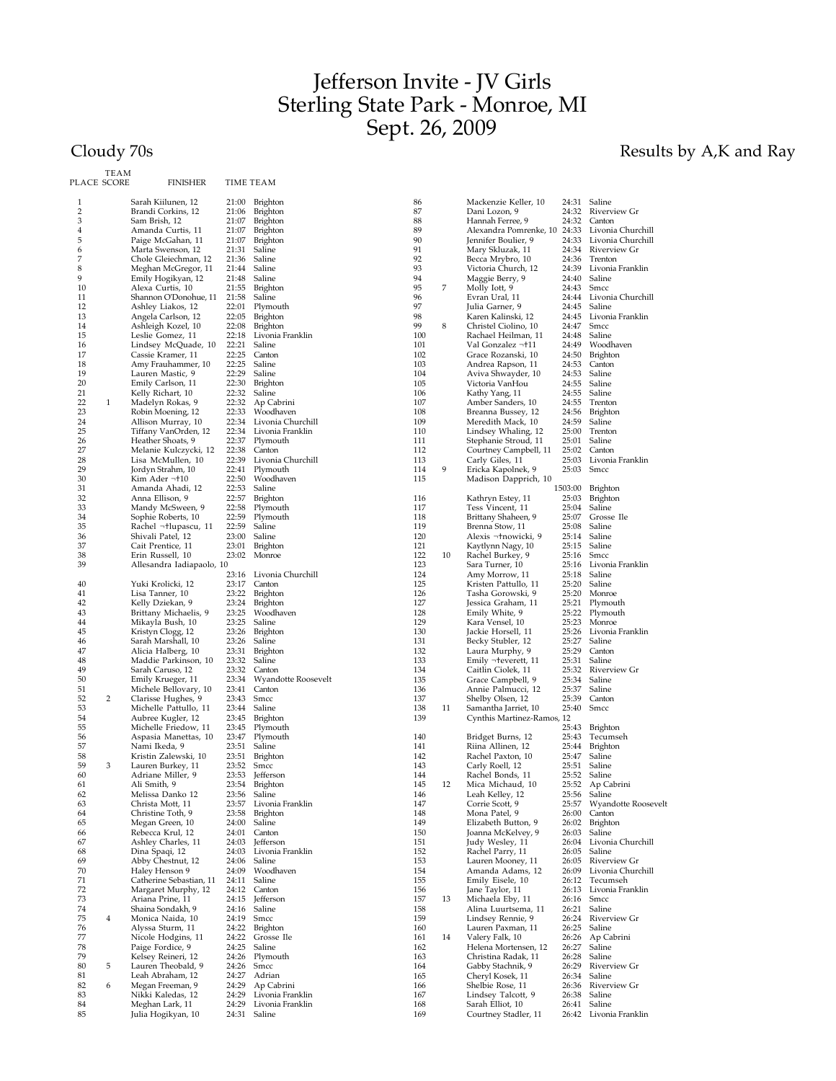## Jefferson Invite - JV Girls Sterling State Park - Monroe, MI Sept. 26, 2009

## Cloudy 70s **Results by A,K and Ray**

| PLACE SCORE | TEAM | <b>FINISHER</b>                               |                | TIME TEAM                   |            |    |                  |
|-------------|------|-----------------------------------------------|----------------|-----------------------------|------------|----|------------------|
| 1           |      | Sarah Kiilunen, 12                            | 21:00          | <b>Brighton</b>             | 86         |    | Macke            |
| 2<br>3      |      | Brandi Corkins, 12<br>Sam Brish, 12           | 21:06<br>21:07 | <b>Brighton</b><br>Brighton | 87<br>88   |    | Dani I<br>Hanna  |
| 4           |      | Amanda Curtis, 11                             | 21:07          | Brighton                    | 89         |    | Alexa            |
| 5           |      | Paige McGahan, 11                             | 21:07          | <b>Brighton</b>             | 90         |    | Jennif           |
| 6           |      | Marta Swenson, 12                             | 21:31          | Saline                      | 91         |    | Mary             |
| 7           |      | Chole Gleiechman, 12                          | 21:36          | Saline                      | 92         |    | Becca            |
| 8           |      | Meghan McGregor, 11                           | 21:44          | Saline                      | 93         |    | Victor           |
| 9           |      | Emily Hogikyan, 12                            | 21:48          | Saline                      | 94         |    | Maggi            |
| 10          |      | Alexa Curtis, 10                              | 21:55          | <b>Brighton</b>             | 95         | 7  | Molly            |
| 11          |      | Shannon O'Donohue, 11                         | 21:58          | Saline                      | 96         |    | Evran            |
| 12<br>13    |      | Ashley Liakos, 12                             | 22:01<br>22:05 | Plymouth                    | 97<br>98   |    | Julia (<br>Karen |
| 14          |      | Angela Carlson, 12<br>Ashleigh Kozel, 10      | 22:08          | Brighton<br>Brighton        | 99         | 8  | Christ           |
| 15          |      | Leslie Gomez, 11                              | 22:18          | Livonia Franklin            | 100        |    | Racha            |
| 16          |      | Lindsey McQuade, 10                           | 22:21          | Saline                      | 101        |    | Val G            |
| 17          |      | Cassie Kramer, 11                             | 22:25          | Canton                      | 102        |    | Grace            |
| 18          |      | Amy Frauhammer, 10                            | 22:25          | Saline                      | 103        |    | Andre            |
| 19          |      | Lauren Mastic, 9                              | 22:29          | Saline                      | 104        |    | Aviva            |
| 20          |      | Emily Carlson, 11                             | 22:30          | <b>Brighton</b>             | 105        |    | Victor           |
| 21<br>22    | 1    | Kelly Richart, 10                             | 22:32<br>22:32 | Saline                      | 106<br>107 |    | Kathy<br>Ambe    |
| 23          |      | Madelyn Rokas, 9<br>Robin Moening, 12         | 22:33          | Ap Cabrini<br>Woodhaven     | 108        |    | Brean            |
| 24          |      | Allison Murray, 10                            | 22:34          | Livonia Churchill           | 109        |    | Merec            |
| 25          |      | Tiffany VanOrden, 12                          | 22:34          | Livonia Franklin            | 110        |    | Linds            |
| 26          |      | Heather Shoats, 9                             | 22:37          | Plymouth                    | 111        |    | Stepha           |
| 27          |      | Melanie Kulczycki, 12                         | 22:38          | Canton                      | 112        |    | Court            |
| 28          |      | Lisa McMullen, 10                             | 22:39          | Livonia Churchill           | 113        |    | Carly            |
| 29          |      | Jordyn Strahm, 10                             | 22:41          | Plymouth                    | 114        | 9  | Ericka           |
| 30<br>31    |      | Kim Ader  10<br>Amanda Ahadi, 12              | 22:50<br>22:53 | Woodhaven<br>Saline         | 115        |    | Madis            |
| 32          |      | Anna Ellison, 9                               | 22:57          | <b>Brighton</b>             | 116        |    | Kathr            |
| 33          |      | Mandy McSween, 9                              | 22:58          | Plymouth                    | 117        |    | Tess \           |
| 34          |      | Sophie Roberts, 10                            | 22:59          | Plymouth                    | 118        |    | Brittar          |
| 35          |      | Rachel ¬+lupascu, 11                          | 22:59          | Saline                      | 119        |    | Brenn            |
| 36          |      | Shivali Patel, 12                             | 23:00          | Saline                      | 120        |    | Alexis           |
| 37<br>38    |      | Cait Prentice, 11                             | 23:01<br>23:02 | <b>Brighton</b><br>Monroe   | 121<br>122 | 10 | Kaytly           |
| 39          |      | Erin Russell, 10<br>Allesandra Iadiapaolo, 10 |                |                             | 123        |    | Rache<br>Sara T  |
|             |      |                                               | 23:16          | Livonia Churchill           | 124        |    | Amy l            |
| 40          |      | Yuki Krolicki, 12                             | 23:17          | Canton                      | 125        |    | Kriste           |
| 41          |      | Lisa Tanner, 10                               | 23:22          | Brighton                    | 126        |    | Tasha            |
| 42          |      | Kelly Dziekan, 9                              | 23:24          | <b>Brighton</b>             | 127        |    | Jessica          |
| 43          |      | Brittany Michaelis, 9                         | 23:25          | Woodhaven                   | 128        |    | Emily            |
| 44<br>45    |      | Mikayla Bush, 10<br>Kristyn Clogg, 12         | 23:25<br>23:26 | Saline<br><b>Brighton</b>   | 129<br>130 |    | Kara \<br>Jackie |
| 46          |      | Sarah Marshall, 10                            | 23:26          | Saline                      | 131        |    | Becky            |
| 47          |      | Alicia Halberg, 10                            | 23:31          | Brighton                    | 132        |    | Laura            |
| 48          |      | Maddie Parkinson, 10                          | 23:32          | Saline                      | 133        |    | Emily            |
| 49          |      | Sarah Caruso, 12                              | 23:32          | Canton                      | 134        |    | Caitlin          |
| 50          |      | Emily Krueger, 11                             | 23:34          | Wyandotte Roosevelt         | 135        |    | Grace            |
| 51          |      | Michele Bellovary, 10                         | 23:41          | Canton                      | 136        |    | Annie            |
| 52<br>53    | 2    | Clarisse Hughes, 9<br>Michelle Pattullo, 11   | 23:43<br>23:44 | Smcc<br>Saline              | 137<br>138 | 11 | Shelby<br>Samar  |
| 54          |      | Aubree Kugler, 12                             | 23:45          | Brighton                    | 139        |    | Cynth            |
| 55          |      | Michelle Friedow, 11                          | 23:45          | Plymouth                    |            |    |                  |
| 56          |      | Aspasia Manettas, 10                          | 23:47          | Plymouth                    | 140        |    | Bridge           |
| 57          |      | Nami Ikeda, 9                                 | 23:51          | Saline                      | 141        |    | Riina            |
| 58          |      | Kristin Zalewski, 10                          | 23:51          | <b>Brighton</b>             | 142        |    | Rache            |
| 59          | 3    | Lauren Burkey, 11                             | 23:52          | Smcc                        | 143        |    | Carly            |
| 60          |      | Adriane Miller, 9                             | 23:53          | Jefferson                   | 144        |    | Rache            |
| 61<br>62    |      | Ali Smith, 9<br>Melissa Danko 12              | 23:54<br>23:56 | Brighton<br>Saline          | 145<br>146 | 12 | Mica<br>Leah l   |
| 63          |      | Christa Mott, 11                              | 23:57          | Livonia Franklin            | 147        |    | Corrie           |
| 64          |      | Christine Toth, 9                             | 23:58          | <b>Brighton</b>             | 148        |    | Mona             |
| 65          |      | Megan Green, 10                               | 24:00          | Saline                      | 149        |    | Elizab           |
| 66          |      | Rebecca Krul, 12                              | 24:01          | Canton                      | 150        |    | Joanna           |
| 67          |      | Ashley Charles, 11                            | 24:03          | Jefferson                   | 151        |    | Judy '           |
| 68          |      | Dina Spaqi, 12                                | 24:03          | Livonia Franklin            | 152        |    | Rache            |
| 69          |      | Abby Chestnut, 12                             | 24:06          | Saline<br>Woodhaven         | 153        |    | Laure:           |
| 70<br>71    |      | Haley Henson 9<br>Catherine Sebastian, 11     | 24:09<br>24:11 | Saline                      | 154<br>155 |    | Aman<br>Emily    |
| 72          |      | Margaret Murphy, 12                           | 24:12          | Canton                      | 156        |    | Jane T           |
| 73          |      | Ariana Prine, 11                              | 24:15          | Jefferson                   | 157        | 13 | Micha            |
| 74          |      | Shaina Sondakh, 9                             | 24:16          | Saline                      | 158        |    | Alina            |
| 75          | 4    | Monica Naida, 10                              | 24:19          | Smcc                        | 159        |    | Linds            |
| 76          |      | Alyssa Sturm, 11                              | 24:22          | <b>Brighton</b>             | 160        |    | Laure:           |
| 77          |      | Nicole Hodgins, 11                            | 24:22          | Grosse Ile                  | 161        | 14 | Valery           |
| 78<br>79    |      | Paige Fordice, 9<br>Kelsey Reineri, 12        | 24:25<br>24:26 | Saline<br>Plymouth          | 162<br>163 |    | Helen<br>Christ  |
| 80          | 5    | Lauren Theobald, 9                            | 24:26          | Smcc                        | 164        |    | Gabby            |
| 81          |      | Leah Abraham, 12                              | 24:27          | Adrian                      | 165        |    | Chery            |
| 82          | 6    | Megan Freeman, 9                              | 24:29          | Ap Cabrini                  | 166        |    | Shelbi           |
| 83          |      | Nikki Kaledas, 12                             | 24:29          | Livonia Franklin            | 167        |    | Linds            |
| 84          |      | Meghan Lark, 11                               | 24:29          | Livonia Franklin            | 168        |    | Sarah            |
| 85          |      | Julia Hogikyan, 10                            | 24:31          | Saline                      | 169        |    | Court            |

| 86  |    | Mackenzie Keller, 10         | 24:31   | Saline              |
|-----|----|------------------------------|---------|---------------------|
| 87  |    | Dani Lozon, 9                | 24:32   | <b>Riverview Gr</b> |
| 88  |    | Hannah Ferree, 9             | 24:32   | Canton              |
| 89  |    | Alexandra Pomrenke, 10 24:33 |         | Livonia Churchill   |
| 90  |    |                              | 24:33   | Livonia Churchill   |
| 91  |    | Jennifer Boulier, 9          |         |                     |
| 92  |    | Mary Skluzak, 11             | 24:34   | Riverview Gr        |
|     |    | Becca Mrybro, 10             | 24:36   | Trenton             |
| 93  |    | Victoria Church, 12          | 24:39   | Livonia Franklin    |
| 94  |    | Maggie Berry, 9              | 24:40   | Saline              |
| 95  | 7  | Molly Iott, 9                | 24:43   | Smcc                |
| 96  |    | Evran Ural, 11               | 24:44   | Livonia Churchill   |
| 97  |    | Julia Garner, 9              | 24:45   | Saline              |
| 98  |    | Karen Kalinski, 12           | 24:45   | Livonia Franklin    |
| 99  | 8  | Christel Ciolino, 10         | 24:47   | Smcc                |
| 100 |    | Rachael Heilman, 11          | 24:48   | Saline              |
| 101 |    | Val Gonzalez  11             | 24:49   | Woodhaven           |
| 102 |    | Grace Rozanski, 10           | 24:50   | Brighton            |
| 103 |    | Andrea Rapson, 11            | 24:53   | Canton              |
| 104 |    | Aviva Shwayder, 10           | 24:53   | Saline              |
|     |    |                              |         | Saline              |
| 105 |    | Victoria VanHou              | 24:55   |                     |
| 106 |    | Kathy Yang, 11               | 24:55   | Saline              |
| 107 |    | Amber Sanders, 10            | 24:55   | Trenton             |
| 108 |    | Breanna Bussey, 12           | 24:56   | <b>Brighton</b>     |
| 109 |    | Meredith Mack, 10            | 24:59   | Saline              |
| 110 |    | Lindsey Whaling, 12          | 25:00   | Trenton             |
| 111 |    | Stephanie Stroud, 11         | 25:01   | Saline              |
| 112 |    | Courtney Campbell, 11        | 25:02   | Canton              |
| 113 |    | Carly Giles, 11              | 25:03   | Livonia Franklin    |
| 114 | 9  | Ericka Kapolnek, 9           | 25:03   | Smcc                |
| 115 |    | Madison Dapprich, 10         |         |                     |
|     |    |                              | 1503:00 | Brighton            |
| 116 |    | Kathryn Estey, 11            | 25:03   | Brighton            |
| 117 |    | Tess Vincent, 11             | 25:04   | Saline              |
|     |    |                              |         |                     |
| 118 |    | Brittany Shaheen, 9          | 25:07   | Grosse Ile          |
| 119 |    | Brenna Stow, 11              | 25:08   | Saline              |
| 120 |    | Alexis  nowicki, 9           | 25:14   | Saline              |
| 121 |    | Kaytlynn Nagy, 10            | 25:15   | Saline              |
| 122 | 10 | Rachel Burkey, 9             | 25:16   | Smcc                |
| 123 |    | Sara Turner, 10              | 25:16   | Livonia Franklin    |
| 124 |    | Amy Morrow, 11               | 25:18   | Saline              |
| 125 |    | Kristen Pattullo, 11         | 25:20   | Saline              |
| 126 |    | Tasha Gorowski, 9            | 25:20   | Monroe              |
| 127 |    | Jessica Graham, 11           | 25:21   | Plymouth            |
| 128 |    | Emily White, 9               | 25:22   | Plymouth            |
| 129 |    | Kara Vensel, 10              | 25:23   | Monroe              |
| 130 |    | Jackie Horsell, 11           | 25:26   | Livonia Franklin    |
| 131 |    | Becky Stubler, 12            | 25:27   | Saline              |
| 132 |    | Laura Murphy, 9              | 25:29   |                     |
|     |    |                              |         | Canton<br>Saline    |
| 133 |    | Emily  everett, 11           | 25:31   |                     |
| 134 |    | Caitlin Ciolek, 11           | 25:32   | <b>Riverview Gr</b> |
| 135 |    | Grace Campbell, 9            | 25:34   | Saline              |
| 136 |    | Annie Palmucci, 12           | 25:37   | Saline              |
| 137 |    | Shelby Olsen, 12             | 25:39   | Canton              |
| 138 | 11 | Samantha Jarriet, 10         | 25:40   | Smcc                |
| 139 |    | Cynthis Martinez-Ramos, 12   |         |                     |
|     |    |                              | 25:43   | Brighton            |
| 140 |    | Bridget Burns, 12            | 25:43   | Tecumseh            |
| 141 |    | Riina Allinen, 12            | 25:44   | <b>Brighton</b>     |
| 142 |    | Rachel Paxton, 10            | 25:47   | Saline              |
| 143 |    | Carly Roell, 12              | 25:51   | Saline              |
| 144 |    | Rachel Bonds, 11             | 25:52   | Saline              |
| 145 | 12 | Mica Michaud, 10             | 25:52   | Ap Cabrini          |
| 146 |    | Leah Kelley, 12              | 25:56   | Saline              |
| 147 |    | Corrie Scott, 9              | 25:57   | Wyandotte Roosevelt |
| 148 |    |                              |         |                     |
|     |    | Mona Patel, 9                | 26:00   | Canton              |
| 149 |    | Elizabeth Button, 9          | 26:02   | <b>Brighton</b>     |
| 150 |    | Joanna McKelvey, 9           | 26:03   | Saline              |
| 151 |    | Judy Wesley, 11              | 26:04   | Livonia Churchill   |
| 152 |    | Rachel Parry, 11             | 26:05   | Saline              |
| 153 |    | Lauren Mooney, 11            | 26:05   | Riverview Gr        |
| 154 |    | Amanda Adams, 12             | 26:09   | Livonia Churchill   |
| 155 |    | Emily Eisele, 10             | 26:12   | Tecumseh            |
| 156 |    | Jane Taylor, 11              | 26:13   | Livonia Franklin    |
| 157 | 13 | Michaela Eby, 11             | 26:16   | Smcc                |
| 158 |    | Alina Luurtsema, 11          | 26:21   | Saline              |
| 159 |    | Lindsey Rennie, 9            | 26:24   | Riverview Gr        |
| 160 |    | Lauren Paxman, 11            |         |                     |
|     |    |                              | 26:25   | Saline              |
| 161 | 14 | Valery Falk, 10              | 26:26   | Ap Cabrini          |
| 162 |    | Helena Mortensen, 12         | 26:27   | Saline              |
| 163 |    | Christina Radak, 11          | 26:28   | Saline              |
| 164 |    | Gabby Stachnik, 9            | 26:29   | Riverview Gr        |
| 165 |    | Cheryl Kosek, 11             | 26:34   | Saline              |
| 166 |    | Shelbie Rose, 11             | 26:36   | Riverview Gr        |
| 167 |    | Lindsey Talcott, 9           | 26:38   | Saline              |
| 168 |    | Sarah Elliot, 10             | 26:41   | Saline              |
| 169 |    | Courtney Stadler, 11         | 26:42   | Livonia Franklin    |
|     |    |                              |         |                     |